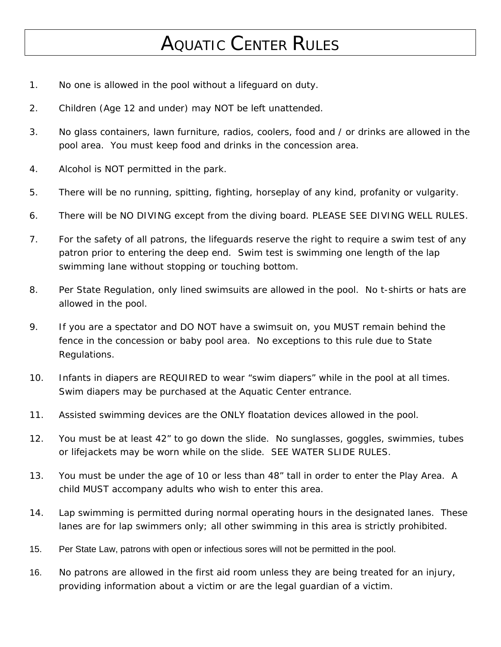## AQUATIC CENTER RULES

- 1. No one is allowed in the pool without a lifeguard on duty.
- 2. Children (Age 12 and under) may NOT be left unattended.
- 3. No glass containers, lawn furniture, radios, coolers, food and / or drinks are allowed in the pool area. You must keep food and drinks in the concession area.
- 4. Alcohol is NOT permitted in the park.
- 5. There will be no running, spitting, fighting, horseplay of any kind, profanity or vulgarity.
- 6. There will be NO DIVING except from the diving board. PLEASE SEE DIVING WELL RULES.
- 7. For the safety of all patrons, the lifeguards reserve the right to require a swim test of any patron prior to entering the deep end. Swim test is swimming one length of the lap swimming lane without stopping or touching bottom.
- 8. Per State Regulation, only lined swimsuits are allowed in the pool. No t-shirts or hats are allowed in the pool.
- 9. If you are a spectator and DO NOT have a swimsuit on, you MUST remain behind the fence in the concession or baby pool area. No exceptions to this rule due to State Regulations.
- 10. Infants in diapers are REQUIRED to wear "swim diapers" while in the pool at all times. Swim diapers may be purchased at the Aquatic Center entrance.
- 11. Assisted swimming devices are the ONLY floatation devices allowed in the pool.
- 12. You must be at least 42" to go down the slide. No sunglasses, goggles, swimmies, tubes or lifejackets may be worn while on the slide. SEE WATER SLIDE RULES.
- 13. You must be under the age of 10 or less than 48" tall in order to enter the Play Area. A child MUST accompany adults who wish to enter this area.
- 14. Lap swimming is permitted during normal operating hours in the designated lanes. These lanes are for lap swimmers only; all other swimming in this area is strictly prohibited.
- 15. Per State Law, patrons with open or infectious sores will not be permitted in the pool.
- 16. No patrons are allowed in the first aid room unless they are being treated for an injury, providing information about a victim or are the legal guardian of a victim.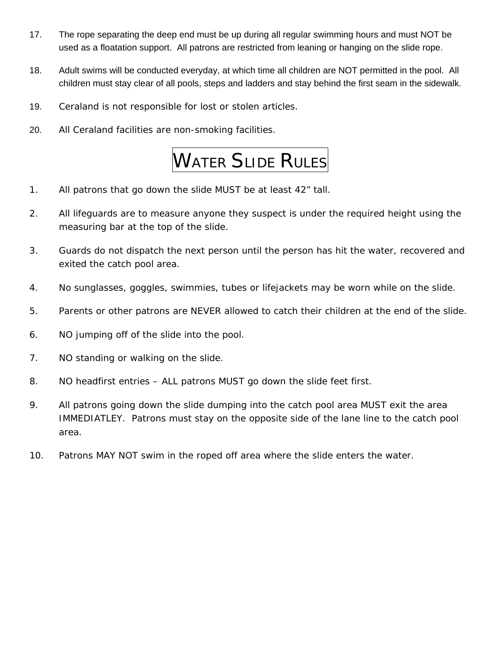- 17. The rope separating the deep end must be up during all regular swimming hours and must NOT be used as a floatation support. All patrons are restricted from leaning or hanging on the slide rope.
- 18. Adult swims will be conducted everyday, at which time all children are NOT permitted in the pool. All children must stay clear of all pools, steps and ladders and stay behind the first seam in the sidewalk.
- 19. Ceraland is not responsible for lost or stolen articles.
- 20. All Ceraland facilities are non-smoking facilities.

## WATER SLIDE RULES

- 1. All patrons that go down the slide MUST be at least 42" tall.
- 2. All lifeguards are to measure anyone they suspect is under the required height using the measuring bar at the top of the slide.
- 3. Guards do not dispatch the next person until the person has hit the water, recovered and exited the catch pool area.
- 4. No sunglasses, goggles, swimmies, tubes or lifejackets may be worn while on the slide.
- 5. Parents or other patrons are NEVER allowed to catch their children at the end of the slide.
- 6. NO jumping off of the slide into the pool.
- 7. NO standing or walking on the slide.
- 8. NO headfirst entries ALL patrons MUST go down the slide feet first.
- 9. All patrons going down the slide dumping into the catch pool area MUST exit the area IMMEDIATLEY. Patrons must stay on the opposite side of the lane line to the catch pool area.
- 10. Patrons MAY NOT swim in the roped off area where the slide enters the water.